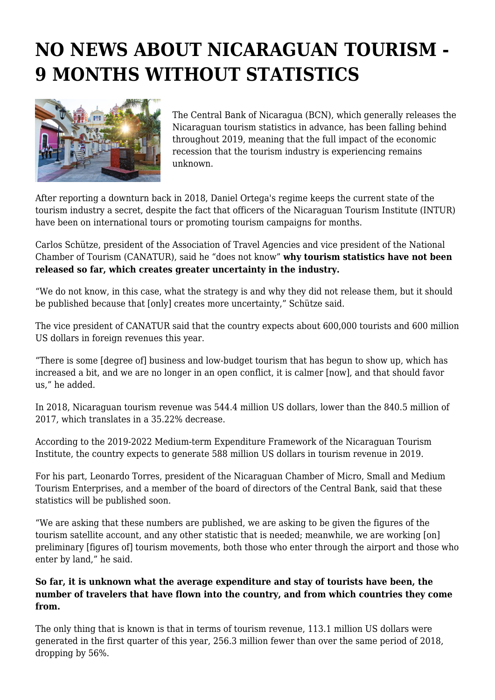## **NO NEWS ABOUT NICARAGUAN TOURISM - 9 MONTHS WITHOUT STATISTICS**



The Central Bank of Nicaragua (BCN), which generally releases the Nicaraguan tourism statistics in advance, has been falling behind throughout 2019, meaning that the full impact of the economic recession that the tourism industry is experiencing remains unknown.

After reporting a downturn back in 2018, Daniel Ortega's regime keeps the current state of the tourism industry a secret, despite the fact that officers of the Nicaraguan Tourism Institute (INTUR) have been on international tours or promoting tourism campaigns for months.

Carlos Schütze, president of the Association of Travel Agencies and vice president of the National Chamber of Tourism (CANATUR), said he "does not know" **why tourism statistics have not been released so far, which creates greater uncertainty in the industry.**

"We do not know, in this case, what the strategy is and why they did not release them, but it should be published because that [only] creates more uncertainty," Schütze said.

The vice president of CANATUR said that the country expects about 600,000 tourists and 600 million US dollars in foreign revenues this year.

"There is some [degree of] business and low-budget tourism that has begun to show up, which has increased a bit, and we are no longer in an open conflict, it is calmer [now], and that should favor us," he added.

In 2018, Nicaraguan tourism revenue was 544.4 million US dollars, lower than the 840.5 million of 2017, which translates in a 35.22% decrease.

According to the 2019-2022 Medium-term Expenditure Framework of the Nicaraguan Tourism Institute, the country expects to generate 588 million US dollars in tourism revenue in 2019.

For his part, Leonardo Torres, president of the Nicaraguan Chamber of Micro, Small and Medium Tourism Enterprises, and a member of the board of directors of the Central Bank, said that these statistics will be published soon.

"We are asking that these numbers are published, we are asking to be given the figures of the tourism satellite account, and any other statistic that is needed; meanwhile, we are working [on] preliminary [figures of] tourism movements, both those who enter through the airport and those who enter by land," he said.

## **So far, it is unknown what the average expenditure and stay of tourists have been, the number of travelers that have flown into the country, and from which countries they come from.**

The only thing that is known is that in terms of tourism revenue, 113.1 million US dollars were generated in the first quarter of this year, 256.3 million fewer than over the same period of 2018, dropping by 56%.